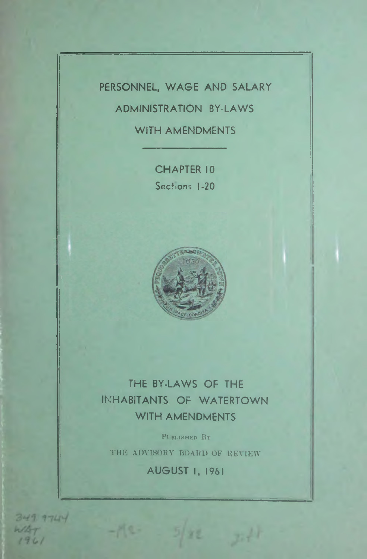# PERSONNEL, WAGE AND SALARY

# ADMINISTRATION BY-LAWS

## WITH AMENDMENTS

CHAPTER 10 Sections 1-20



# THE BY-LAWS OF THE INHABITANTS OF WATERTOWN WITH AMENDMENTS

PUBLISHED BY

THE ADVISORY BOARD OF REVIEW

AUGUST I, 1961

 $349.9744$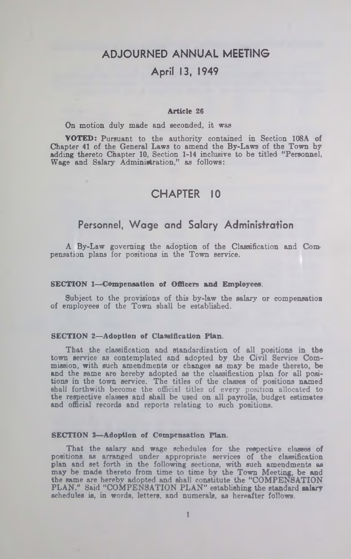# ADJOURNED ANNUAL MEETING April 13, 1949

### **Article 26**

On motion duly made and seconded, it was

**VOTED:** Pursuant to the authority contained in Section 108A of Chapter 41 of the General Laws to amend the By-Laws of the Town by adding thereto Chapter 10, Section 1-14 inclusive to be titled "Personnel, Wage and Salary Administration," as follows:

### CHAPTER 10

### Personnel, Wage and Salary Administration

A By-Law governing the adoption of the Classification and Compensation plans for positions in the Town service.

#### **SECTION 1— Compensation of Officers and Employees.**

Subject to the provisions of this by-law the salary or compensation of employees of the Town shall be established.

### **SECTION 2—Adoption of Classification Plan.**

That the classification and standardization of all positions in the town service as contemplated and adopted by the Civil Service Commission, with such amendments or changes as may be made thereto, be and the same are hereby adopted as the classification plan for all positions in the town service. The titles of the classes of positions named shall forthwith become the official titles of every position allocated to the respective classes and shall be used on all payrolls, budget estimates and official records and reports relating to such positions.

#### **SECTION 3— Adoption of Compensation Plan.**

That the salary and wage schedules for the respective classes **of** positions as arranged under appropriate services of the classification plan and set forth in the following sections, with such amendments as may be made thereto from time to time by the Town Meeting, be and the same are hereby adopted and shall constitute the "COMPENSATION PLAN." Said "COMPENSATION PLAN" establishing the standard salary schedules is, in words, letters, and numerals, as hereafter follows.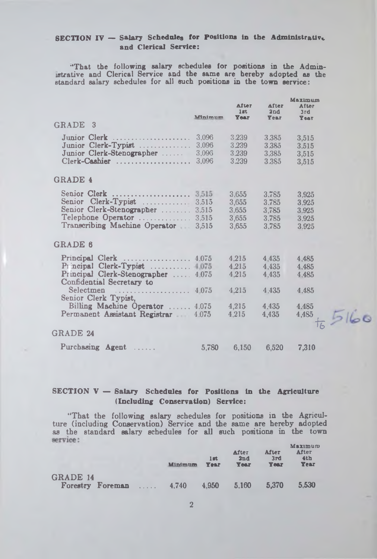### SECTION IV - Salary Schedules for Positions in the Administrative and Clerical Service:

•'That the following salary schedules for positions in the Administrative and Clerical Service and the same are hereby adopted as the standard salary schedules for all such positions in the town service:

|                                                                                                                                                           | Mnimum                           | <b>A</b> fter<br>1st.<br><b>Year</b>      | After<br>2nd<br><b>Year</b>               | Maximum<br>After<br>3rd<br><b>Year</b>    |
|-----------------------------------------------------------------------------------------------------------------------------------------------------------|----------------------------------|-------------------------------------------|-------------------------------------------|-------------------------------------------|
| GRADE 3                                                                                                                                                   |                                  |                                           |                                           |                                           |
| Junior Clerk.<br>. <b>.</b> .<br>Junior Clerk-Typist<br>Junior Clerk-Stenographer<br>Clerk-Cashier                                                        | 3,096<br>3.096<br>3,096<br>3.096 | 3.239<br>3.239<br>3.239<br>3.239          | 3.385<br>3.385<br>3.385<br>3.385          | 3,515<br>3.515<br>3,515<br>3,515          |
| <b>GRADE 4</b>                                                                                                                                            |                                  |                                           |                                           |                                           |
| Senior Clerk  3.515<br>Senior Clerk-Typist  3.515<br>Senior Clerk-Stenographer  3,515<br>Telephone Operator  3,515<br>Transcribing Machine Operator 3,515 |                                  | 3.655<br>3.655<br>3.655<br>3.655<br>3,655 | 3.785<br>3.785<br>3,785<br>3,785<br>3,785 | 3.925<br>3.925<br>3.925<br>3.925<br>3.925 |
| <b>GRADE 6</b>                                                                                                                                            |                                  |                                           |                                           |                                           |
| Principal Clerk $\ldots \ldots \ldots \ldots \ldots 4.075$<br>Principal Clerk-Typist  1.075<br>Principal Clerk-Stenographer<br>Confidential Secretary to  | 4.075                            | 4.215<br>4.215<br>4.215                   | 4.435<br>4.435<br>4.435                   | 4.485<br>4.485<br>4.485                   |
| Selectmen<br>. <sup>.</sup><br>Senior Clerk Typist,                                                                                                       | 4.075                            | 4.215                                     | 4.435                                     | 4.485                                     |
| Billing Machine Operator  4.075<br>Permanent Assistant Registrar 4.075                                                                                    |                                  | 4.215<br>4.215                            | 4.435<br>4,435                            | 4.485<br>4,485                            |
| GRADE 24                                                                                                                                                  |                                  |                                           |                                           |                                           |
| Purchasing Agent<br>1.1.1.1.1                                                                                                                             | 5.780                            | 6,150                                     | 6,520                                     | 7,310                                     |

### **SECTION V — Salary Schedules for Positions in the Agriculture (Including Conservation) Service:**

"That the following salary schedules for positions in the Agriculture (including Conservation) Service and the same are hereby adopted as the standard salary schedules for all such positions in the town service:

|                                                         | <b>Minimum</b> | $1$ at<br><b>Year</b> | After<br>2nd<br>Year | <b>After</b><br>3rd<br><b>Year</b> | Maximum<br>After<br>4th<br><b>Year</b> |
|---------------------------------------------------------|----------------|-----------------------|----------------------|------------------------------------|----------------------------------------|
| <b>GRADE 14</b>                                         |                |                       |                      |                                    |                                        |
| <b>Forestry Foreman</b><br><b><i><u>Carrier</u></i></b> | 4.740          | 4.950                 | 5.160                | 5.370                              | 5.530                                  |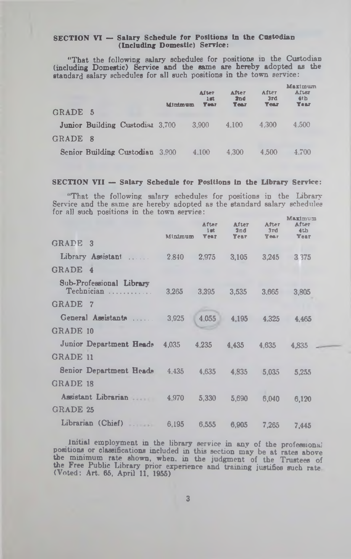#### SECTION VI - Salary Schedule for Positions in the Custodian (Including Domestic) Service:

"That the following salary schedules for positions in the Custodian (including Domestic) Service and the same are hereby adopted as the standard salary schedules for all such positions in the town service:

|         |                                 | Minimum | After<br>2.02<br><b>Year</b> | After<br>2nd<br><b>Year</b> | After<br>3rd<br><b>Year</b> | Maximum<br>After<br>4 <sub>th</sub><br><b>Year</b> |
|---------|---------------------------------|---------|------------------------------|-----------------------------|-----------------------------|----------------------------------------------------|
| GRADE 5 |                                 |         |                              |                             |                             |                                                    |
|         | Junior Building Custodial 3,700 |         | 3.900                        | 4.100                       | 4.300                       | 4.500                                              |
| GRADE 8 |                                 |         |                              |                             |                             |                                                    |
|         | Senior Building Custodian 3,900 |         | 4.100                        | 4.300                       | 4.500                       | 4.700                                              |

#### **SECTION VII — Salary Schedule for Positions in the Library Service:**

"That the following salary schedules for positions in the Library Service and the same are hereby adopted as the standard salary schedules for all such positions in the town service:

|                               | After<br>$1$ at<br><b>Year</b> | After<br>2nd<br>Year                        | After<br>3rd<br><b>Year</b> | Maximum<br>After<br>4th<br><b>Year</b> |
|-------------------------------|--------------------------------|---------------------------------------------|-----------------------------|----------------------------------------|
|                               |                                |                                             |                             |                                        |
| Library Assistant             | 2,975                          | 3.105                                       | 3.245                       | 3 3 7 5                                |
|                               |                                |                                             |                             |                                        |
| 3.265                         | 3.395                          | 3,535                                       | 3.665                       | 3.805                                  |
|                               |                                |                                             |                             |                                        |
| General Assistants<br>3,925   | 4.055                          | 4,195                                       | 4,325                       | 4.465                                  |
|                               |                                |                                             |                             |                                        |
| 4.035                         | 4.235                          | 4.435                                       | 4.635                       | 4.835                                  |
|                               |                                |                                             |                             |                                        |
| Senior Department Heads 4.435 | 4,635                          | 4.835                                       | 5.035                       | 5.255                                  |
|                               |                                |                                             |                             |                                        |
| Assistant Librarian 4,970     | 5,330                          | 5,690                                       | 6,040                       | 6,120                                  |
|                               |                                |                                             |                             |                                        |
|                               | 6,555                          | 6.905                                       | 7.265                       | 7.445                                  |
|                               |                                | Minimum<br>2,840<br>Librarian (Chief) 6,195 |                             |                                        |

Initial employment in the library service in any of the professional positions or classifications included in this section may be at rates above the minimum rate shown, when, in the judgment of the Trustees of the Free Public Library prior experience and training justifies such rate (Voted: Art. 65, April 11, 1955)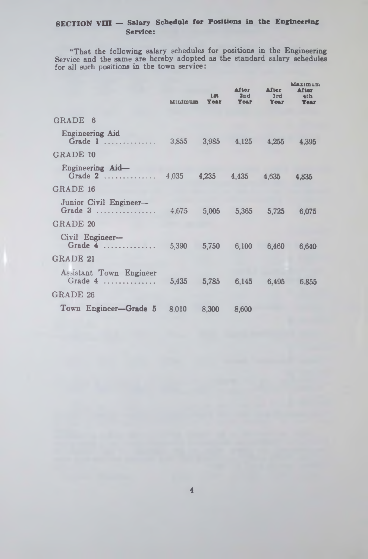### SECTION VIII - Salary Schedule for Positions in the Engineering Service:

"That the following salary schedules for positions in the Engineering Service and the same are hereby adopted as the standard salary schedules for all such positions in the town service:

|           | $1\pi$<br><b>Year</b> | After<br>2nd               | <b>After</b><br>3rd<br><b>Year</b>                                                         | <b>Maximum</b><br>After<br>4th<br><b>Year</b>                                                                             |
|-----------|-----------------------|----------------------------|--------------------------------------------------------------------------------------------|---------------------------------------------------------------------------------------------------------------------------|
|           |                       |                            |                                                                                            |                                                                                                                           |
|           |                       |                            |                                                                                            | 4,395                                                                                                                     |
|           |                       |                            |                                                                                            |                                                                                                                           |
| Grade $2$ |                       |                            |                                                                                            | 4.835                                                                                                                     |
|           |                       |                            |                                                                                            |                                                                                                                           |
| Grade 3   |                       |                            |                                                                                            | 6,075                                                                                                                     |
|           |                       |                            |                                                                                            |                                                                                                                           |
|           |                       |                            |                                                                                            | 6,640                                                                                                                     |
|           |                       |                            |                                                                                            |                                                                                                                           |
|           |                       |                            |                                                                                            | 6,855                                                                                                                     |
|           |                       |                            |                                                                                            |                                                                                                                           |
|           |                       |                            |                                                                                            |                                                                                                                           |
|           |                       | Minimum<br>$4,035$ $4.235$ | Grade $\overline{4}$ 5,390 5,750<br>5,435 5,785<br>Town Engineer-Grade 5 8.010 8,300 8,600 | Year<br>Grade 1  3,855 3,985 4,125 4,255<br>4,435 4,635<br>4,675 5,005 5,365<br>5,725<br>6,100<br>6.460<br>6.145<br>6,495 |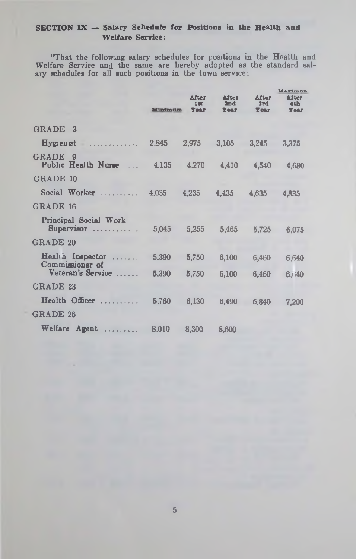### SECTION IX - Salary Schedule for Positions in the Health and Welfare Service:

"That the following salary schedules for positions in the Health and Welfare Service and the same are hereby adopted as the standard salary schedules for all such positions in the town service:

|                                                                     | <b>Minimum</b>  | <b>After</b><br>1mt<br><b>Year</b> | <b>After</b><br>2nd<br><b>Year</b> | After<br>3rd<br><b>Tear</b> | Marimun<br>After<br>4th<br><b>Year</b> |
|---------------------------------------------------------------------|-----------------|------------------------------------|------------------------------------|-----------------------------|----------------------------------------|
| GRADE 3                                                             |                 |                                    |                                    |                             |                                        |
| Hygienist                                                           |                 |                                    | 2,845 2,975 3,105 3,245            |                             | 3,375                                  |
| <b>GRADE</b><br>- 9<br>Public Health Nurse  4,135 4,270 4,410 4,540 |                 |                                    |                                    |                             | 4.680                                  |
| <b>GRADE 10</b>                                                     |                 |                                    |                                    |                             |                                        |
| Social Worker                                                       | 4,035           | 4,235                              | 4,435                              | 4.635                       | 4.835                                  |
| GRADE 16                                                            |                 |                                    |                                    |                             |                                        |
| Principal Social Work<br>Supervisor                                 | $5,045$ $5,255$ |                                    | 5.465                              | 5,725                       | 6,075                                  |
| <b>GRADE 20</b>                                                     |                 |                                    |                                    |                             |                                        |
| Health Inspector<br>Commissioner of                                 | 5,390           | 5,750                              | 6,100                              | 6,460                       | 6,640                                  |
| Veteran's Service                                                   | 5,390           | 5,750                              | 6,100                              | 6,460                       | 6,40                                   |
| <b>GRADE 23</b>                                                     |                 |                                    |                                    |                             |                                        |
| Health Officer                                                      | 5,780           | 6.130                              | 6.490                              | 6,840                       | 7.200                                  |
| <b>GRADE 26</b>                                                     |                 |                                    |                                    |                             |                                        |
| Welfare Agent                                                       | 8,010           | 8,300                              | 8,600                              |                             |                                        |

5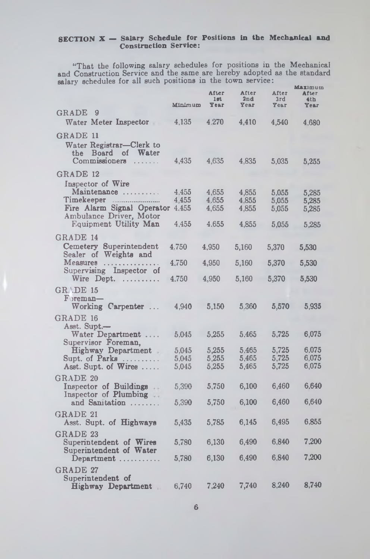### SECTION X — Salary Schedule for Positions in the Mechanical and Construction Service:

"That the following salary schedules for positions in the Mechanical and Construction Service and the same are hereby adopted as the standard salary schedules for all such positions in the town service:<br>Maximum

|                                                                | Minimum | After<br>1 <sub>gt</sub><br>Year | After<br>2nd<br>Year | After<br>3rd<br>Year | ,,,,,,,,,,<br>After<br>4th<br>Year |
|----------------------------------------------------------------|---------|----------------------------------|----------------------|----------------------|------------------------------------|
| GRADE<br>9                                                     |         |                                  |                      |                      |                                    |
| Water Meter Inspector<br><b>Service</b>                        | 4,135   | 4.270                            | 4,410                | 4,540                | 4,680                              |
| GRADE 11<br>Water Registrar-Clerk to<br>the Board of Water     |         |                                  |                      |                      |                                    |
| Commissioners                                                  | 4,435   | 4,635                            | 4,835                | 5,035                | 5,255                              |
| GRADE 12                                                       |         |                                  |                      |                      |                                    |
| Inspector of Wire                                              |         |                                  |                      |                      |                                    |
| Maintenance                                                    | 4.455   | 4,655                            | 4,855                | 5,055                | 5,285                              |
| Timekeeper                                                     | 4,455   | 4.655                            | 4.855                | 5,055                | 5,285                              |
| Fire Alarm Signal Operator<br>Ambulance Driver, Motor          | 4.455   | 4,655                            | 4,855                | 5,055                | 5,285                              |
| Equipment Utility Man                                          | 4,455   | 4.655                            | 4,855                | 5,055                | 5,285                              |
| <b>GRADE 14</b>                                                |         |                                  |                      |                      |                                    |
| Cemetery<br>Superintendent<br>Sealer of Weights and            | 4.750   | 4,950                            | 5,160                | 5,370                | 5,530                              |
| Measures<br>. <b>.</b> .<br>Supervising Inspector of           | 4,750   | 4,950                            | 5,160                | 5,370                | 5,530                              |
| Wire Dept. $\ldots$                                            | 4.750   | 4,950                            | 5,160                | 5,370                | 5,530                              |
| <b>GR .DE 15</b>                                               |         |                                  |                      |                      |                                    |
| Foreman-<br>Working Carpenter                                  | 4.940   | 5,150                            | 5.360                | 5,570                | 5,935                              |
| GRADE 16<br>Asst. Supt.—                                       |         |                                  |                      |                      |                                    |
| Water Department.<br>Supervisor Foreman,                       | 5,045   | 5,255                            | 5.465                | 5,725                | 6,075                              |
| Highway Department.                                            | 5.045   | 5,255                            | 5,465                | 5,725                | 6,075                              |
| Supt. of Parks                                                 | 5.045   | 5,255                            | 5,465                | 5,725                | 6,075                              |
| Asst. Supt. of Wires                                           | 5.045   | 5,255                            | 5,465                | 5,725                | 6,075                              |
| <b>GRADE 20</b><br>Inspector of Buildings                      | 5,390   | 5,750                            | 6,100                | 6,460                | 6.640                              |
| Inspector of Plumbing<br>and Samitation                        | 5,390   | 5,750                            | 6,100                | 6,460                | 6,640                              |
|                                                                |         |                                  |                      |                      |                                    |
| <b>GRADE 21</b><br>Asst. Supt. of Highways                     | 5,435   | 5,785                            | 6,145                | 6,495                | 6,855                              |
| GRADE 23<br>Superintendent of Wires<br>Superintendent of Water | 5,780   | 6,130                            | 6,490                | 6,840                | 7.200                              |
| Department<br><b>GRADE 27</b>                                  | 5,780   | 6,130                            | 6,490                | 6.840                | 7.200                              |
| Superintendent of<br><b>Highway Department</b>                 | 6,740   | 7,240                            | 7,740                | 8,240                | 8,740                              |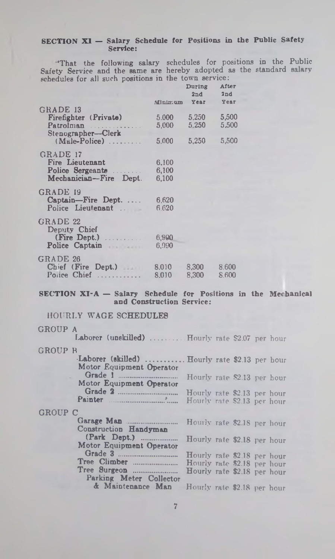### SECTION XI - Salary Schedule for Positions in the Public Safety Service:

'That the following salary schedules for positions in the Public Safety Service and the same are hereby adopted as the standard salary schedules for all such positions in the town service: During After

|                                                          | Minimum        | During<br>2nd<br>Year | AIVET<br>2nd<br>Year |
|----------------------------------------------------------|----------------|-----------------------|----------------------|
| GRADE 13                                                 |                |                       |                      |
| Firefighter (Private)<br>Patrolman<br>Stenographer-Clerk | 5.000<br>5,000 | 5,250<br>5.250        | 5,500<br>5,500       |
| $(Male-Police)$                                          | 5.000          | 5,250                 | 5,500                |
| GRADE 17                                                 |                |                       |                      |
| Fire Lieutenant                                          | 6.100          |                       |                      |
| Police Sergeants                                         | 6,100          |                       |                      |
| Mechanician-Fire Dept.                                   | 6,100          |                       |                      |
| GRADE 19                                                 |                |                       |                      |
| Captain-Fire Dept.                                       | 6.620          |                       |                      |
| Police Lieutenant                                        | 6.620          |                       |                      |
| GRADE 22<br>Deputy Chief                                 |                |                       |                      |
| (Fire Dept.)                                             | 6,900          |                       |                      |
| Police Captain                                           | 6.990          |                       |                      |
| GRADE 26                                                 |                |                       |                      |
| Chief (Fire Dept.)<br>Police Chief                       | 8.010<br>8.010 | 8.300<br>8.300        | 8.600<br>8.600       |
|                                                          |                |                       |                      |

#### **SECTION X I-A — Salary Schedule for Positions in the Mechanical and Construction Service:**

HOURLY WAGE SCHEDULES

### GROUP A

|                | Laborer (unskilled)  Hourly rate \$2.07 per hour                           |                                                                                           |  |  |
|----------------|----------------------------------------------------------------------------|-------------------------------------------------------------------------------------------|--|--|
| GROUP B        | Laborer (skilled)  Hourly rate \$2.13 per hour<br>Motor Equipment Operator |                                                                                           |  |  |
|                | Motor Equipment Operator                                                   | Hourly rate \$2.13 per hour                                                               |  |  |
|                | Painter                                                                    | Hourly rate \$2.13 per hour<br>Hourly rate \$2.13 per hour                                |  |  |
| <b>GROUP C</b> |                                                                            |                                                                                           |  |  |
|                | Construction Handyman                                                      | Hourly rate \$2.18 per hour                                                               |  |  |
|                | (Park Dept.)<br>Motor Equipment Operator                                   | Hourly rate \$2.18 per hour                                                               |  |  |
|                | Tree Surgeon<br>Parking Meter Collector                                    | Hourly rate \$2.18 per hour<br>Hourly rate \$2.18 per hour<br>Hourly rate \$2.18 per hour |  |  |
|                | & Maintenance Man                                                          | Hourly rate \$2.18 per hour                                                               |  |  |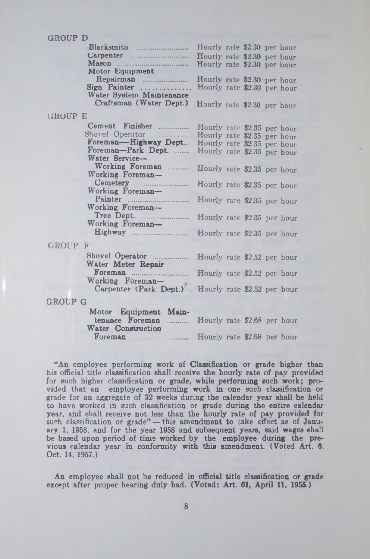### GROUP D

|                |                                                    | Hourly rate \$2.30 per hour |  |  |
|----------------|----------------------------------------------------|-----------------------------|--|--|
|                |                                                    | Hourly rate \$2.30 per hour |  |  |
|                |                                                    | Hourly rate \$2.30 per hour |  |  |
|                | Motor Equipment                                    |                             |  |  |
|                |                                                    | Hourly rate \$2.30 per hour |  |  |
|                | Sign Painter                                       | Hourly rate \$2.30 per hour |  |  |
|                | Water System Maintenance                           |                             |  |  |
|                | Craftsman (Water Dept.)                            | Hourly rate \$2.30 per hour |  |  |
| <b>GROUP E</b> |                                                    |                             |  |  |
|                | Cement Finisher  Hourly rate \$2.35 per hour       |                             |  |  |
|                | Shovel Operator  Hourly rate \$2.35 per hour       |                             |  |  |
|                | Foreman-Highway Dept. Hourly rate \$2.35 per hour  |                             |  |  |
|                | Foreman-Park Dept.  Hourly rate \$2.35 per hour    |                             |  |  |
|                | Water Service-                                     |                             |  |  |
|                | Working Foreman                                    | Hourly rate \$2.35 per hour |  |  |
|                | Working Foreman-                                   |                             |  |  |
|                |                                                    | Hourly rate \$2.35 per hour |  |  |
|                | Working Foreman-                                   |                             |  |  |
|                | Painter <u>manufacture</u>                         | Hourly rate \$2.35 per hour |  |  |
|                | Working Foreman-                                   |                             |  |  |
|                |                                                    | Hourly rate \$2.35 per hour |  |  |
|                | Working Foreman-                                   |                             |  |  |
|                |                                                    |                             |  |  |
| GROUP F        |                                                    |                             |  |  |
|                |                                                    |                             |  |  |
|                | Water Meter Repair                                 |                             |  |  |
|                |                                                    |                             |  |  |
|                | Working Foreman-                                   |                             |  |  |
|                | Carpenter (Park Dept.) Hourly rate \$2.52 per hour |                             |  |  |
| GROUP G        |                                                    |                             |  |  |
|                |                                                    |                             |  |  |
|                | Motor Equipment Main-                              |                             |  |  |
|                | tenance Foreman                                    | Hourly rate \$2.68 per hour |  |  |
|                | Water Construction                                 |                             |  |  |

"An employee performing work of Classification or grade higher than his official title classification shall receive the hourly rate of pay provided for such higher classification or grade, while performing such work; provided that an employee performing work in one such classification or grade for an aggregate of 32 weeks during the calendar year shall be held to have worked in such classification or grade during the entire calendar year, and shall receive not less than the hourly rate of pay provided for such classification or grade" — this amendment to cake effect as of January 1, 1958, and for the year 1958 and subsequent years, said wages shall be based upon period of time worked by the employee during the previous calendar year in conformity with this amendment. (Voted Art. 6, Oct. 14, 1957.)

Foreman .......................... Hourly rate \$2.68 per hour

An employee shall not be reduced in official title classification or grade except after proper hearing duly had. (Voted: Art. **61,** April **11,** 1955.)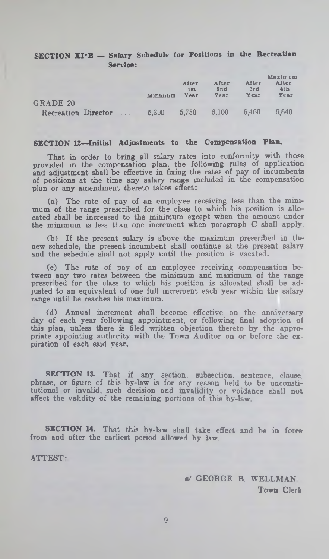### SECTION XI-B - Salary Schedule for Positions in the Recreation Service:

|                     | Minimum | After<br>1st<br>Year | After<br>2nd<br>Year | <b>Alter</b><br>3rd<br>Year | Maximum<br>After<br>4 <sub>th</sub><br>Year |
|---------------------|---------|----------------------|----------------------|-----------------------------|---------------------------------------------|
| GRADE 20            |         |                      |                      |                             |                                             |
| Recreation Director | 5390    | 5.750                | 6.100                | 6.460                       | 6.640                                       |

#### **SECTION 12—Initial Adjustments to the Compensation Plan.**

That in order to bring all salary rates into conformity with those provided in the compensation plan, the following rules of application and adjustment shall be effective in fixing the rates of pay of incumbents of positions at the time any salary range included in the compensation plan or any amendment thereto takes effect:

(a) The rate of pay of an employee receiving less than the minimum of the range prescribed for the class to which his position is allocated shall be increased to the minimum except when the amount under the minimum is less than one increment when paragraph C shall apply.

(b) If the present salary is above the maximum prescribed in the new schedule, the present incumbent shall continue at the present salary and the schedule shall not apply until the position is vacated.

(c) The rate of pay of an employee receiving compensation between any two rates between the minimum and maximum of the range prescr bed for the class to which his position is allocated shall be adjusted to an equivalent of one full increment each year within the salary range until he reaches his maximum.

(d) Annual increment shall become effective on the anniversary day of each year following appointment, or following final adoption of this plan, unless there is filed written objection thereto by the appropriate appointing authority with the Town Auditor on or before the expiration of each said year.

**SECTION 13.** That if any section, subsection, sentence, clause, phrase, or figure of this by-law is for any reason held to be unconstitutional or invalid, such decision and invalidity or voidance shall not affect the validity of the remaining portions of this by-law.

**SECTION 14.** That this by-law shall take effect and be in force from and after the earliest period allowed by law.

ATTEST-

b/ GEORGE B. WELLMAN Town Clerk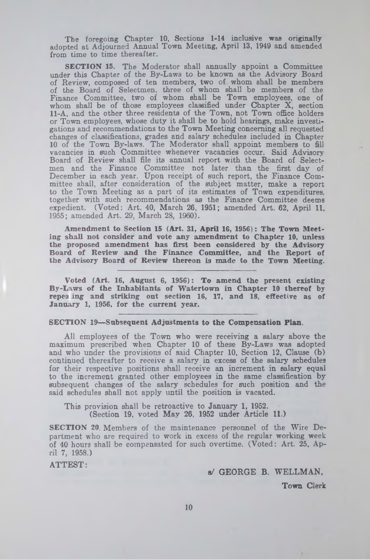The foregoing Chapter 10, Sections 1-14 inclusive was originally adopted at Adjourned Annual Town Meeting, April 13, 1949 and amended from time to time thereafter.

**SECTION 15.** The Moderator shall annually appoint a Committee under this Chapter of the By-Laws to be known as the Advisory Board of Review, composed of ten members, two of whom shall be members of the Board of Selectmen, three of whom shall be members of the Finance Committee, two of whom shall be Town employees, one of whom shall be of those employees classified under Chapter X, section 11-A, and the other three residents of the Town, not Town office holders or Town employees, whose duty it shall be to hold hearings, make investigations and recommendations to the Town Meeting concerning all requested changes of classifications, grades and salary schedules included in Chapter 10 of the Town By-laws. The Moderator shall appoint members to fill vacancies in such Committee whenever vacancies occur. Said Advisory Board of Review shall file its annual report with the Board of Selectmen and the Finance Committee not later than the first day of December in each year. Upon receipt of such report, the Finance Committee shall, after consideration of the subject matter, make a report to the Town Meeting as a part of its estimates of Town expenditures, together with such recommendations as the Finance Committee deems expedient. (Voted: Art. 40, March **26, 1951;** amended Art. **62,** April **11,** 1955; amended Art. 29, March 28, I960).

**Amendment to Section 15 (Art. 31, April 16, 1956): The Town Meeting shall not consider and vote any amendment to Chapter 10, unless the proposed amendment has first been considered by the Advisory Board of Review and the Finance Committee, and the Report of the Advisory Board of Review thereon is made to the Town Meeting.**

**Voted (Art. 16, August 6, 1956): To amend the present existing By-Laws of the Inhabitants of Watertown in Chapter 10 thereof by repea ing and striking out section 16, 17, and 18, effective as of January 1, 1956, for the current year.**

### SECTION 19—**Subsequent Adjustments to the Compensation Plan.**

All employees of the Town who were receiving a salary above the maximum prescribed when Chapter 10 of these By-Laws was adopted and who under the provisions of said Chapter 10, Section 12, Clause (b) continued thereafter to receive a salary in excess of the salary schedules for their respective positions shall receive an increment in **salary equal** to the increment granted other employees in the same classification by subsequent changes of the salary schedules for such position and the said schedules shall not apply until the position is vacated.

This provision shall be retroactive to January 1, 1952. (Section 19, voted May 26, 1952 under Article 11.)

SECTION 20. Members of the maintenance personnel of the Wire Department who are required to work in excess of the regular working week of 40 hours shall be compensated for such overtime. (Voted: Art. 25, April 7, 1958.)

ATTEST:

s/ GEORGE B. WELLMAN.

Town Clerk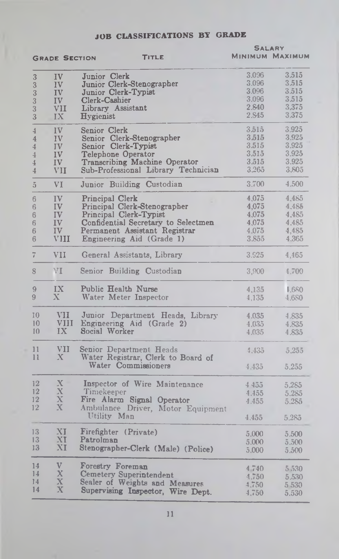## JOB CLASSIFICATIONS BY GRADE

|                    |                         |                                                               |       | <b>SALARY</b>          |
|--------------------|-------------------------|---------------------------------------------------------------|-------|------------------------|
|                    | <b>GRADE SECTION</b>    | <b>TITLE</b>                                                  |       | <b>MINIMUM MAXIMUM</b> |
| 3                  | IV                      | Junior Clerk                                                  | 3.096 | 3.515                  |
| 3                  | IV                      | Junior Clerk-Stenographer                                     | 3.096 | 3.515                  |
| $\overline{3}$     | IV                      | Junior Clerk-Typist                                           | 3.096 | 3.515                  |
|                    |                         | Clerk-Cashier                                                 | 3,096 | 3.515                  |
| $\overline{3}$     | IV                      |                                                               | 2.840 | 3,375                  |
| $\frac{1}{3}$<br>3 | VII<br>IX               | Library Assistant<br><b>Hygienist</b>                         | 2,S45 | 3.375                  |
| $\frac{4}{3}$      | IV                      | Senior Clerk                                                  | 3.515 | 3,925                  |
|                    |                         | Senior Clerk-Stenographer                                     | 3.515 | 3.925                  |
| 4                  | IV                      |                                                               | 3.515 | 3,925                  |
| $\frac{4}{3}$      | IV                      | Senior Clerk-Typist                                           |       |                        |
| $\overline{4}$     | IV                      | Telephone Operator                                            | 3,515 | 3.925                  |
| 4                  | IV                      | Transcribing Machine Operator                                 | 3.515 | 3.925                  |
| $\overline{4}$     | VII                     | Sub-Professional Library Technician                           | 3.265 | 3.805                  |
| 5                  | VI                      | Junior Building Custodian                                     | 3.700 | 4.500                  |
| 6                  | IV                      | Principal Clerk                                               | 4,075 | 4,485                  |
| $\,6$              | IV                      | Principal Clerk-Stenographer                                  | 4,075 | 4.485                  |
| 6                  | IV                      | Principal Clerk-Typist                                        | 4.075 | 4.485                  |
| 6                  | IV                      | Confidential Secretary to Selectmen                           | 4,075 | 4.485                  |
| 6                  | IV                      | Permanent Assistant Registrar                                 | 4.075 | 4,485                  |
| 6                  | <b>VIII</b>             | Engineering Aid (Grade 1)                                     | 3,855 | 4.365                  |
| 7                  | VII                     | General Assistants, Library                                   | 3.925 | 4,465                  |
| 8                  | VI                      | Senior Building Custodian                                     | 3,900 | 4,700                  |
| 9                  | IX                      | Public Health Nurse                                           |       | 1.680                  |
| 9                  | $\mathbf{X}$            | Water Meter Inspector                                         | 4,135 |                        |
|                    |                         |                                                               | 4,135 | 4.680                  |
| 10                 | VII                     | Junior Department Heads, Library                              | 4.035 | 4.835                  |
| 10                 |                         | VIII Engineering Aid (Grade 2)                                | 4,035 | 4.835                  |
| 10                 | IX                      | Social Worker                                                 | 4.035 | 4.835                  |
| 11<br>11           | VII.<br>$\bf X$         | Senior Department Heads<br>Water Registrar, Clerk to Board of | 4.435 | 5,255                  |
|                    |                         | Water Commissioners                                           | 4.435 | 5,255                  |
| 12                 | X                       | Inspector of Wire Maintenance                                 | 4455  | 5.285                  |
| 12                 | X                       | Timekeeper                                                    | 4.455 |                        |
| 12                 | X                       | Fire Alarm Signal Operator                                    |       | 5,285                  |
| $12 \,$            | X                       |                                                               | 4.455 | 5,285                  |
|                    |                         | Ambulance Driver, Motor Equipment<br>Utility Man              | 4.455 | 5.285                  |
|                    |                         |                                                               |       |                        |
| 13                 | XI                      | Firefighter (Private)                                         | 5,000 | 5,500                  |
| 13                 | XI                      | Patrolman                                                     | 5,000 | 5,500                  |
| 13                 | XI                      | Stenographer-Clerk (Male) (Police)                            | 5,000 | 5,500                  |
| 14                 | V                       | <b>Forestry Foreman</b>                                       | 4740  | 5 530                  |
| 14                 | X                       | Cemetery Superintendent                                       | 4,750 | 5.530                  |
| 14                 | $\overline{\textbf{X}}$ | Sealer of Weights and Measures                                | 4,750 |                        |
| 14                 | $\mathbf x$             | Supervising Inspector, Wire Dept.                             |       | 5 530                  |
|                    |                         |                                                               | 4,750 | 5,530                  |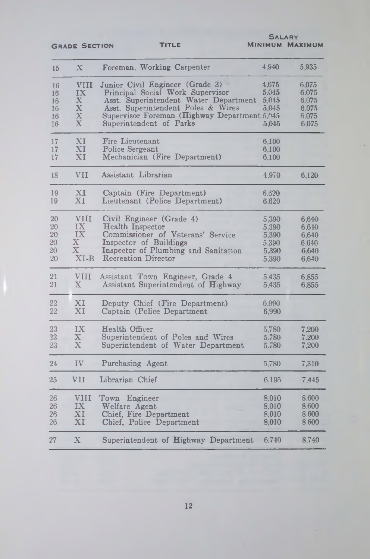GRADE SECTION TITLE

**SALARY** Minimum Maximum

| 15                               | $\mathbf X$                                                               | Foreman, Working Carpenter                                                                                                                                                                                                    | 4.940                                     | 5,935                                              |
|----------------------------------|---------------------------------------------------------------------------|-------------------------------------------------------------------------------------------------------------------------------------------------------------------------------------------------------------------------------|-------------------------------------------|----------------------------------------------------|
| 16<br>16<br>16<br>16<br>16<br>16 | <b>VIII</b><br>IX<br>$\mathbf X$<br>$\mathbf X$<br>$\mathbf X$<br>$\rm X$ | Junior Civil Engineer (Grade 3)<br>Principal Social Work Supervisor<br>Asst. Superintendent Water Department<br>Asst. Superintendent Poles & Wires<br>Supervisor Foreman (Highway Department 5,045<br>Superintendent of Parks | 4,675<br>5,045<br>5,045<br>5,045<br>5,045 | 6.075<br>6.075<br>6,075<br>6,075<br>6.075<br>6.075 |
| 17                               | XI                                                                        | Fire Lieutenant                                                                                                                                                                                                               | 6,100                                     |                                                    |
| 17                               | XI                                                                        | Police Sergeant                                                                                                                                                                                                               | 6,100                                     |                                                    |
| 17                               | XI                                                                        | Mechanician (Fire Department)                                                                                                                                                                                                 | 6,100                                     |                                                    |
| 18                               | <b>VII</b>                                                                | Assistant Librarian                                                                                                                                                                                                           | 4,970                                     | 6,120                                              |
| 19                               | XI                                                                        | Captain (Fire Department)                                                                                                                                                                                                     | 6.620                                     |                                                    |
| 19                               | XI                                                                        | Lieutenant (Police Department)                                                                                                                                                                                                | 6.620                                     |                                                    |
| 20                               | <b>VIII</b>                                                               | Civil Engineer (Grade 4)                                                                                                                                                                                                      | 5,390                                     | 6,640                                              |
| 20                               | IX                                                                        | Health Inspector                                                                                                                                                                                                              | 5,390                                     | 6,640                                              |
| 20                               | IX                                                                        | Commissioner of Veterans' Service                                                                                                                                                                                             | 5,390                                     | 6,640                                              |
| 20                               | $\mathbf{X}$                                                              | Inspector of Buildings                                                                                                                                                                                                        | 5,390                                     | 6,640                                              |
| 20                               | $\mathbf X$                                                               | Inspector of Plumbing and Sanitation                                                                                                                                                                                          | 5,390                                     | 6.640                                              |
| 20                               | $XI-B$                                                                    | <b>Recreation Director</b>                                                                                                                                                                                                    | 5,390                                     | 6,640                                              |
| 21                               | VIII                                                                      | Assistant Town Engineer, Grade 4                                                                                                                                                                                              | 5.435                                     | 6,855                                              |
| 21                               | $\mathbf{X}$                                                              | Assistant Superintendent of Highway                                                                                                                                                                                           | 5.435                                     | 6,855                                              |
| 22                               | XI                                                                        | Deputy Chief (Fire Department)                                                                                                                                                                                                | 6,990                                     |                                                    |
| 22                               | XI                                                                        | Captain (Police Department                                                                                                                                                                                                    | 6,990                                     |                                                    |
| 23                               | IX                                                                        | Health Officer                                                                                                                                                                                                                | 5,780                                     | 7,200                                              |
| 23                               | $\mathbf{X}$                                                              | Superintendent of Poles and Wires                                                                                                                                                                                             | 5,780                                     | 7,200                                              |
| 23                               | $\overline{X}$                                                            | Superintendent of Water Department                                                                                                                                                                                            | 5,780                                     | 7,200                                              |
| 24                               | IV                                                                        | Purchasing Agent                                                                                                                                                                                                              | 5,780                                     | 7,310                                              |
| 25                               | VII                                                                       | Librarian Chief                                                                                                                                                                                                               | 6.195                                     | 7,445                                              |
| 26                               | <b>VIII</b>                                                               | Town Engineer                                                                                                                                                                                                                 | 8,010                                     | 8.600                                              |
| 26                               | IX                                                                        | Welfare Agent                                                                                                                                                                                                                 | 8,010                                     | 8,600                                              |
| 26                               | XI                                                                        | Chief, Fire Department                                                                                                                                                                                                        | 8,010                                     | 8,600                                              |
| 26                               | XI                                                                        | Chief, Police Department                                                                                                                                                                                                      | 8,010                                     | 8,600                                              |
| $\overline{27}$                  | X                                                                         | Superintendent of Highway Department                                                                                                                                                                                          | 6.740                                     | 8,740                                              |